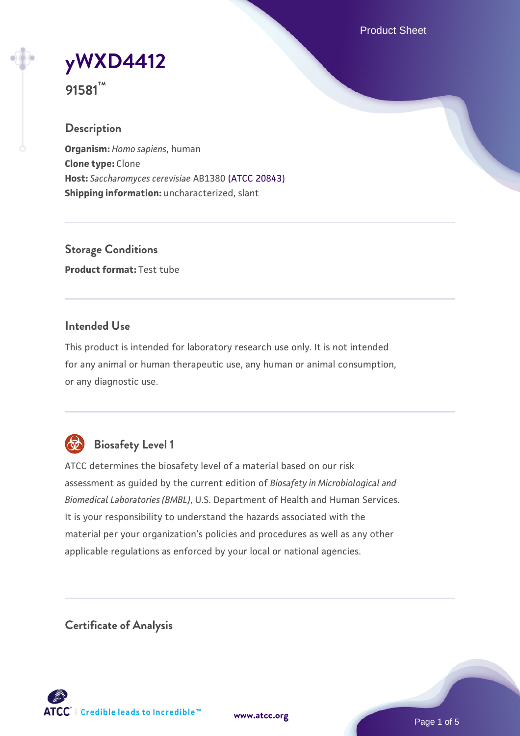Product Sheet

**[yWXD4412](https://www.atcc.org/products/91581)**

**91581™**

## **Description**

**Organism:** *Homo sapiens*, human **Clone type:** Clone **Host:** *Saccharomyces cerevisiae* AB1380 [\(ATCC 20843\)](https://www.atcc.org/products/20843) **Shipping information:** uncharacterized, slant

**Storage Conditions Product format:** Test tube

### **Intended Use**

This product is intended for laboratory research use only. It is not intended for any animal or human therapeutic use, any human or animal consumption, or any diagnostic use.



# **Biosafety Level 1**

ATCC determines the biosafety level of a material based on our risk assessment as guided by the current edition of *Biosafety in Microbiological and Biomedical Laboratories (BMBL)*, U.S. Department of Health and Human Services. It is your responsibility to understand the hazards associated with the material per your organization's policies and procedures as well as any other applicable regulations as enforced by your local or national agencies.

**Certificate of Analysis**

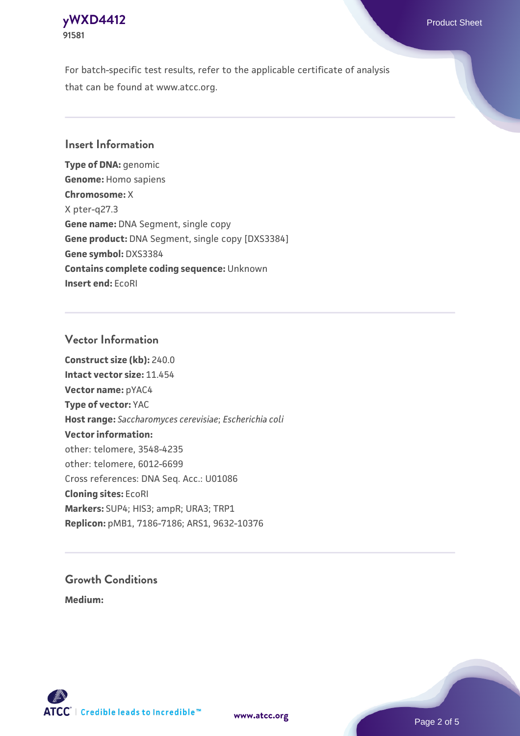### **[yWXD4412](https://www.atcc.org/products/91581)** Product Sheet **91581**

For batch-specific test results, refer to the applicable certificate of analysis that can be found at www.atcc.org.

## **Insert Information**

**Type of DNA:** genomic **Genome:** Homo sapiens **Chromosome:** X X pter-q27.3 **Gene name:** DNA Segment, single copy **Gene product:** DNA Segment, single copy [DXS3384] **Gene symbol:** DXS3384 **Contains complete coding sequence:** Unknown **Insert end:** EcoRI

### **Vector Information**

**Construct size (kb):** 240.0 **Intact vector size:** 11.454 **Vector name:** pYAC4 **Type of vector:** YAC **Host range:** *Saccharomyces cerevisiae*; *Escherichia coli* **Vector information:** other: telomere, 3548-4235 other: telomere, 6012-6699 Cross references: DNA Seq. Acc.: U01086 **Cloning sites:** EcoRI **Markers:** SUP4; HIS3; ampR; URA3; TRP1 **Replicon:** pMB1, 7186-7186; ARS1, 9632-10376

# **Growth Conditions**

**Medium:** 



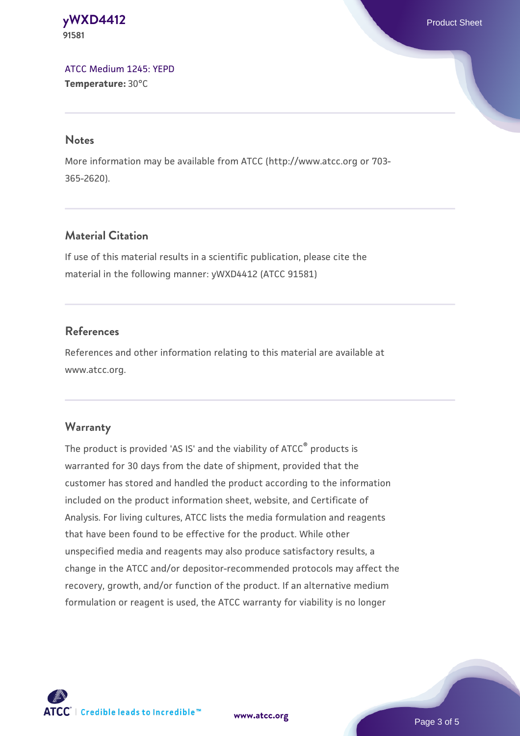#### **[yWXD4412](https://www.atcc.org/products/91581)** Product Sheet **91581**

[ATCC Medium 1245: YEPD](https://www.atcc.org/-/media/product-assets/documents/microbial-media-formulations/1/2/4/5/atcc-medium-1245.pdf?rev=705ca55d1b6f490a808a965d5c072196) **Temperature:** 30°C

#### **Notes**

More information may be available from ATCC (http://www.atcc.org or 703- 365-2620).

# **Material Citation**

If use of this material results in a scientific publication, please cite the material in the following manner: yWXD4412 (ATCC 91581)

# **References**

References and other information relating to this material are available at www.atcc.org.

# **Warranty**

The product is provided 'AS IS' and the viability of ATCC® products is warranted for 30 days from the date of shipment, provided that the customer has stored and handled the product according to the information included on the product information sheet, website, and Certificate of Analysis. For living cultures, ATCC lists the media formulation and reagents that have been found to be effective for the product. While other unspecified media and reagents may also produce satisfactory results, a change in the ATCC and/or depositor-recommended protocols may affect the recovery, growth, and/or function of the product. If an alternative medium formulation or reagent is used, the ATCC warranty for viability is no longer



**[www.atcc.org](http://www.atcc.org)**

Page 3 of 5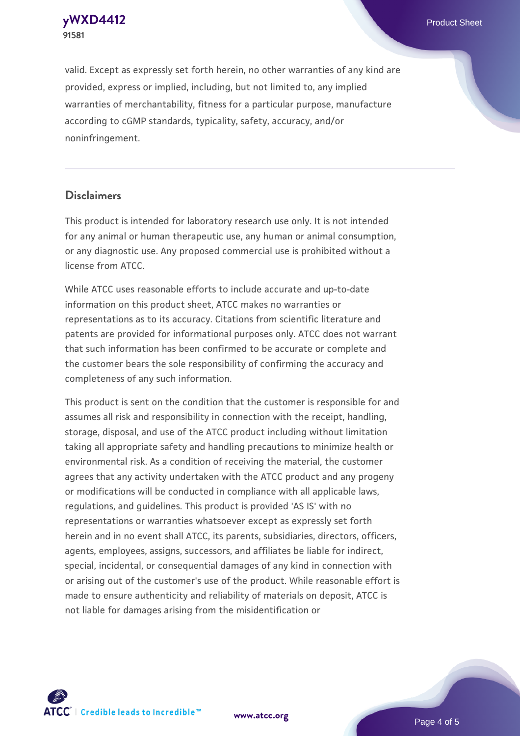**91581**

valid. Except as expressly set forth herein, no other warranties of any kind are provided, express or implied, including, but not limited to, any implied warranties of merchantability, fitness for a particular purpose, manufacture according to cGMP standards, typicality, safety, accuracy, and/or noninfringement.

#### **Disclaimers**

This product is intended for laboratory research use only. It is not intended for any animal or human therapeutic use, any human or animal consumption, or any diagnostic use. Any proposed commercial use is prohibited without a license from ATCC.

While ATCC uses reasonable efforts to include accurate and up-to-date information on this product sheet, ATCC makes no warranties or representations as to its accuracy. Citations from scientific literature and patents are provided for informational purposes only. ATCC does not warrant that such information has been confirmed to be accurate or complete and the customer bears the sole responsibility of confirming the accuracy and completeness of any such information.

This product is sent on the condition that the customer is responsible for and assumes all risk and responsibility in connection with the receipt, handling, storage, disposal, and use of the ATCC product including without limitation taking all appropriate safety and handling precautions to minimize health or environmental risk. As a condition of receiving the material, the customer agrees that any activity undertaken with the ATCC product and any progeny or modifications will be conducted in compliance with all applicable laws, regulations, and guidelines. This product is provided 'AS IS' with no representations or warranties whatsoever except as expressly set forth herein and in no event shall ATCC, its parents, subsidiaries, directors, officers, agents, employees, assigns, successors, and affiliates be liable for indirect, special, incidental, or consequential damages of any kind in connection with or arising out of the customer's use of the product. While reasonable effort is made to ensure authenticity and reliability of materials on deposit, ATCC is not liable for damages arising from the misidentification or



**[www.atcc.org](http://www.atcc.org)**

Page 4 of 5